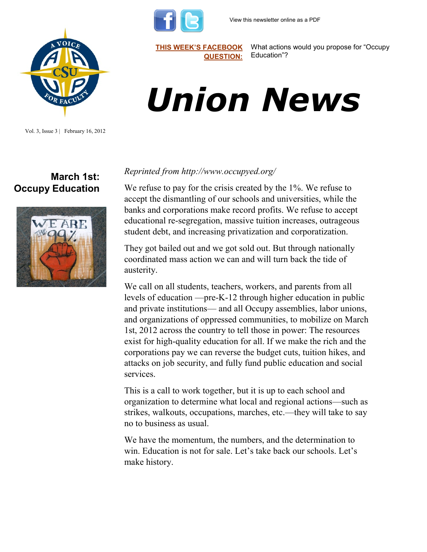



Vol. 3, Issue 3 | February 16, 2012

## **March 1st: Occupy Education**



**[THIS WEEK'S FACEBOOK](http://www.facebook.com/csuaaup#!/pages/CSU-AAUP/112907808749535)  [QUESTION:](http://www.facebook.com/csuaaup#!/pages/CSU-AAUP/112907808749535)** What actions would you propose for "Occupy Education"?

# *Union News*

#### *Reprinted from http://www.occupyed.org/*

We refuse to pay for the crisis created by the 1%. We refuse to accept the dismantling of our schools and universities, while the banks and corporations make record profits. We refuse to accept educational re-segregation, massive tuition increases, outrageous student debt, and increasing privatization and corporatization.

They got bailed out and we got sold out. But through nationally coordinated mass action we can and will turn back the tide of austerity.

We call on all students, teachers, workers, and parents from all levels of education —pre-K-12 through higher education in public and private institutions— and all Occupy assemblies, labor unions, and organizations of oppressed communities, to mobilize on March 1st, 2012 across the country to tell those in power: The resources exist for high-quality education for all. If we make the rich and the corporations pay we can reverse the budget cuts, tuition hikes, and attacks on job security, and fully fund public education and social services.

This is a call to work together, but it is up to each school and organization to determine what local and regional actions—such as strikes, walkouts, occupations, marches, etc.—they will take to say no to business as usual.

We have the momentum, the numbers, and the determination to win. Education is not for sale. Let's take back our schools. Let's make history.